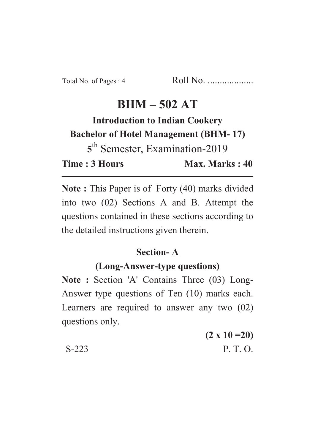# **BHM – 502 AT**

**Introduction to Indian Cookery Bachelor of Hotel Management (BHM- 17) 5** th Semester, Examination-2019 **Time : 3 Hours** Max. Marks : 40

**Note :** This Paper is of Forty (40) marks divided into two (02) Sections A and B. Attempt the questions contained in these sections according to the detailed instructions given therein.

## **Section- A**

## **(Long-Answer-type questions)**

Note : Section 'A' Contains Three (03) Long-Answer type questions of Ten (10) marks each. Learners are required to answer any two (02) questions only.

**(2 x 10 =20)** S-223 P. T. O.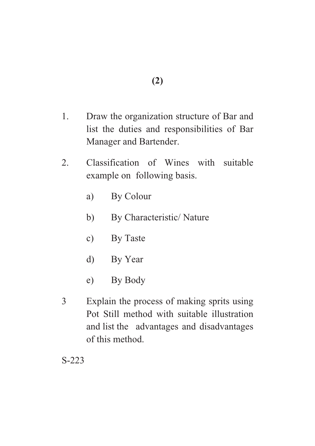- 1. Draw the organization structure of Bar and list the duties and responsibilities of Bar Manager and Bartender.
- 2. Classification of Wines with suitable example on following basis.
	- a) By Colour
	- b) By Characteristic/ Nature
	- c) By Taste
	- d) By Year
	- e) By Body
- 3 Explain the process of making sprits using Pot Still method with suitable illustration and list the advantages and disadvantages of this method.

S-223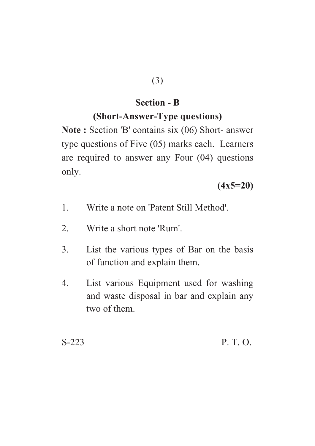#### **Section - B**

### **(Short-Answer-Type questions)**

**Note :** Section 'B' contains six (06) Short- answer type questions of Five (05) marks each. Learners are required to answer any Four (04) questions only.

#### **(4x5=20)**

- 1. Write a note on 'Patent Still Method'.
- 2. Write a short note 'Rum'.
- 3. List the various types of Bar on the basis of function and explain them.
- 4. List various Equipment used for washing and waste disposal in bar and explain any two of them.

S-223 P. T. O.

$$
(3)
$$